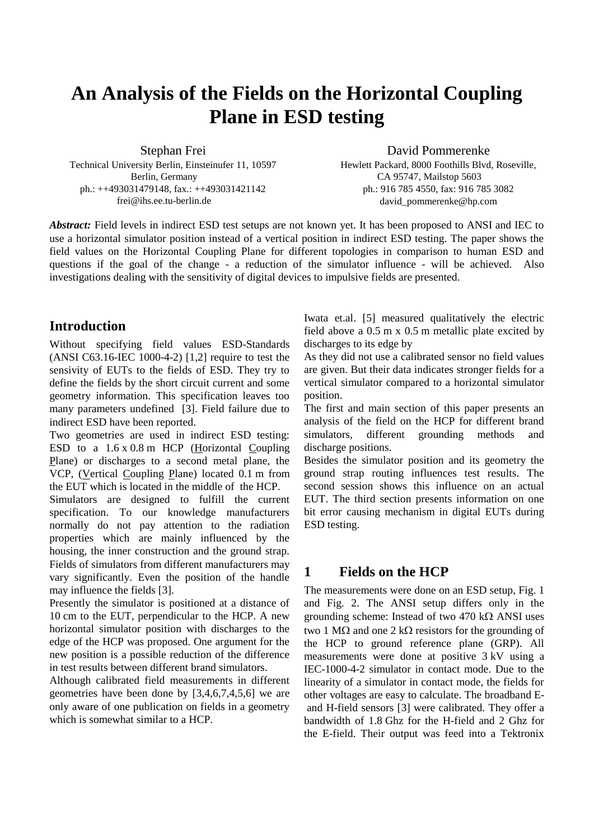# **An Analysis of the Fields on the Horizontal Coupling Plane in ESD testing**

Stephan Frei Technical University Berlin, Einsteinufer 11, 10597 Berlin, Germany ph.: ++493031479148, fax.: ++493031421142 frei@ihs.ee.tu-berlin.de

David Pommerenke Hewlett Packard, 8000 Foothills Blvd, Roseville, CA 95747, Mailstop 5603 ph.: 916 785 4550, fax: 916 785 3082 david\_pommerenke@hp.com

*Abstract:* Field levels in indirect ESD test setups are not known yet. It has been proposed to ANSI and IEC to use a horizontal simulator position instead of a vertical position in indirect ESD testing. The paper shows the field values on the Horizontal Coupling Plane for different topologies in comparison to human ESD and questions if the goal of the change - a reduction of the simulator influence - will be achieved. Also investigations dealing with the sensitivity of digital devices to impulsive fields are presented.

## **Introduction**

Without specifying field values ESD-Standards (ANSI C63.16-IEC 1000-4-2) [1,2] require to test the sensivity of EUTs to the fields of ESD. They try to define the fields by the short circuit current and some geometry information. This specification leaves too many parameters undefined [3]. Field failure due to indirect ESD have been reported.

Two geometries are used in indirect ESD testing: ESD to a 1.6 x 0.8 m HCP (Horizontal Coupling Plane) or discharges to a second metal plane, the VCP, (Vertical Coupling Plane) located 0.1 m from the EUT which is located in the middle of the HCP.

Simulators are designed to fulfill the current specification. To our knowledge manufacturers normally do not pay attention to the radiation properties which are mainly influenced by the housing, the inner construction and the ground strap. Fields of simulators from different manufacturers may vary significantly. Even the position of the handle may influence the fields [3].

Presently the simulator is positioned at a distance of 10 cm to the EUT, perpendicular to the HCP. A new horizontal simulator position with discharges to the edge of the HCP was proposed. One argument for the new position is a possible reduction of the difference in test results between different brand simulators.

Although calibrated field measurements in different geometries have been done by [3,4,6,7,4,5,6] we are only aware of one publication on fields in a geometry which is somewhat similar to a HCP.

Iwata et.al. [5] measured qualitatively the electric field above a 0.5 m x 0.5 m metallic plate excited by discharges to its edge by

As they did not use a calibrated sensor no field values are given. But their data indicates stronger fields for a vertical simulator compared to a horizontal simulator position.

The first and main section of this paper presents an analysis of the field on the HCP for different brand simulators, different grounding methods and discharge positions.

Besides the simulator position and its geometry the ground strap routing influences test results. The second session shows this influence on an actual EUT. The third section presents information on one bit error causing mechanism in digital EUTs during ESD testing.

# **1 Fields on the HCP**

The measurements were done on an ESD setup, Fig. 1 and Fig. 2. The ANSI setup differs only in the grounding scheme: Instead of two 470 k $\Omega$  ANSI uses two 1 M $\Omega$  and one 2 k $\Omega$  resistors for the grounding of the HCP to ground reference plane (GRP). All measurements were done at positive 3 kV using a IEC-1000-4-2 simulator in contact mode. Due to the linearity of a simulator in contact mode, the fields for other voltages are easy to calculate. The broadband Eand H-field sensors [3] were calibrated. They offer a bandwidth of 1.8 Ghz for the H-field and 2 Ghz for the E-field. Their output was feed into a Tektronix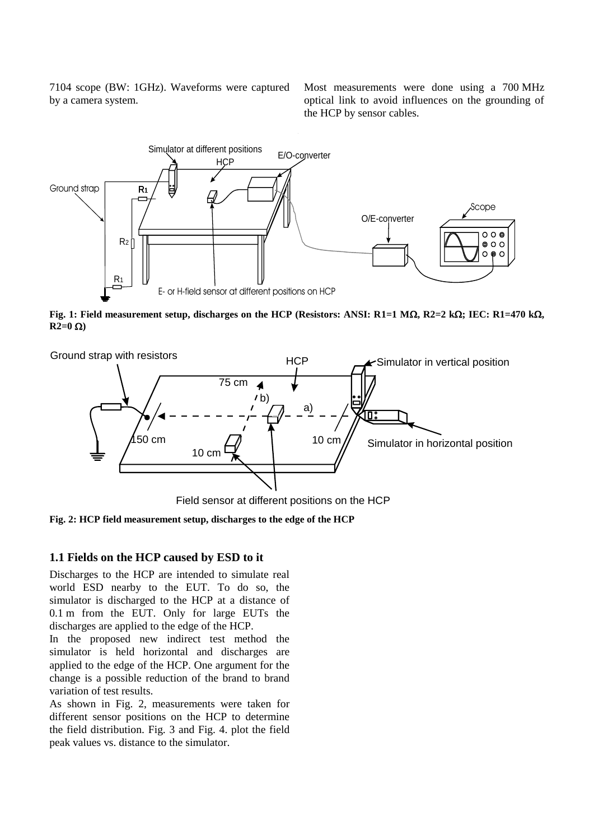7104 scope (BW: 1GHz). Waveforms were captured by a camera system.

Most measurements were done using a 700 MHz optical link to avoid influences on the grounding of the HCP by sensor cables*.*



**Fig. 1: Field measurement setup, discharges on the HCP (Resistors: ANSI: R1=1 M** $\Omega$ **, R2=2 k** $\Omega$ **; IEC: R1=470 k** $\Omega$ **,**  $R2=0 \Omega$ 



Field sensor at different positions on the HCP

**Fig. 2: HCP field measurement setup, discharges to the edge of the HCP**

#### **1.1 Fields on the HCP caused by ESD to it**

Discharges to the HCP are intended to simulate real world ESD nearby to the EUT. To do so, the simulator is discharged to the HCP at a distance of 0.1 m from the EUT. Only for large EUTs the discharges are applied to the edge of the HCP.

In the proposed new indirect test method the simulator is held horizontal and discharges are applied to the edge of the HCP. One argument for the change is a possible reduction of the brand to brand variation of test results.

As shown in Fig. 2, measurements were taken for different sensor positions on the HCP to determine the field distribution. Fig. 3 and Fig. 4. plot the field peak values vs. distance to the simulator.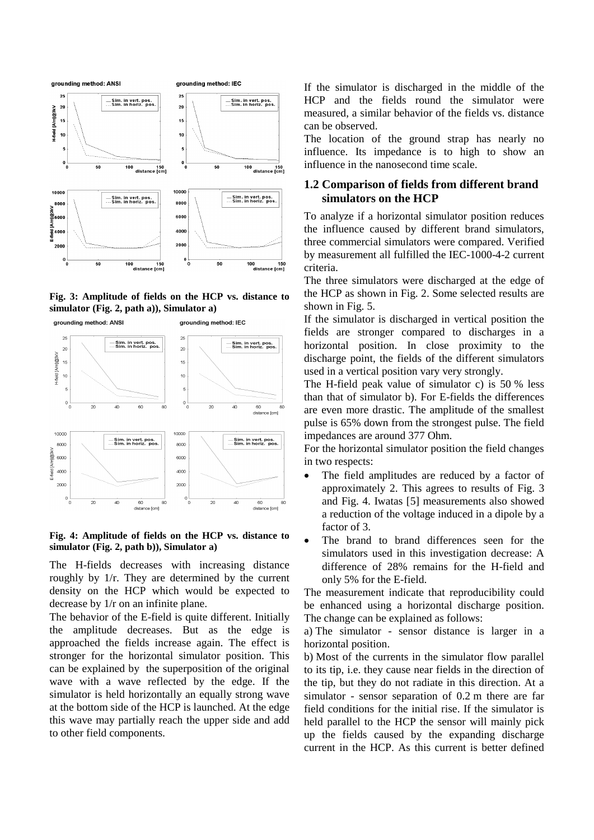

**Fig. 3: Amplitude of fields on the HCP vs. distance to simulator (Fig. 2, path a)), Simulator a)**



**Fig. 4: Amplitude of fields on the HCP vs. distance to simulator (Fig. 2, path b)), Simulator a)**

The H-fields decreases with increasing distance roughly by 1/r. They are determined by the current density on the HCP which would be expected to decrease by 1/r on an infinite plane.

The behavior of the E-field is quite different. Initially the amplitude decreases. But as the edge is approached the fields increase again. The effect is stronger for the horizontal simulator position. This can be explained by the superposition of the original wave with a wave reflected by the edge. If the simulator is held horizontally an equally strong wave at the bottom side of the HCP is launched. At the edge this wave may partially reach the upper side and add to other field components.

If the simulator is discharged in the middle of the HCP and the fields round the simulator were measured, a similar behavior of the fields vs. distance can be observed.

The location of the ground strap has nearly no influence. Its impedance is to high to show an influence in the nanosecond time scale.

### **1.2 Comparison of fields from different brand simulators on the HCP**

To analyze if a horizontal simulator position reduces the influence caused by different brand simulators, three commercial simulators were compared. Verified by measurement all fulfilled the IEC-1000-4-2 current criteria.

The three simulators were discharged at the edge of the HCP as shown in Fig. 2. Some selected results are shown in Fig. 5.

If the simulator is discharged in vertical position the fields are stronger compared to discharges in a horizontal position. In close proximity to the discharge point, the fields of the different simulators used in a vertical position vary very strongly.

The H-field peak value of simulator c) is 50 % less than that of simulator b). For E-fields the differences are even more drastic. The amplitude of the smallest pulse is 65% down from the strongest pulse. The field impedances are around 377 Ohm.

For the horizontal simulator position the field changes in two respects:

- The field amplitudes are reduced by a factor of approximately 2. This agrees to results of Fig. 3 and Fig. 4. Iwatas [5] measurements also showed a reduction of the voltage induced in a dipole by a factor of 3.
- The brand to brand differences seen for the simulators used in this investigation decrease: A difference of 28% remains for the H-field and only 5% for the E-field.

The measurement indicate that reproducibility could be enhanced using a horizontal discharge position. The change can be explained as follows:

a) The simulator - sensor distance is larger in a horizontal position.

b) Most of the currents in the simulator flow parallel to its tip, i.e. they cause near fields in the direction of the tip, but they do not radiate in this direction. At a simulator - sensor separation of 0.2 m there are far field conditions for the initial rise. If the simulator is held parallel to the HCP the sensor will mainly pick up the fields caused by the expanding discharge current in the HCP. As this current is better defined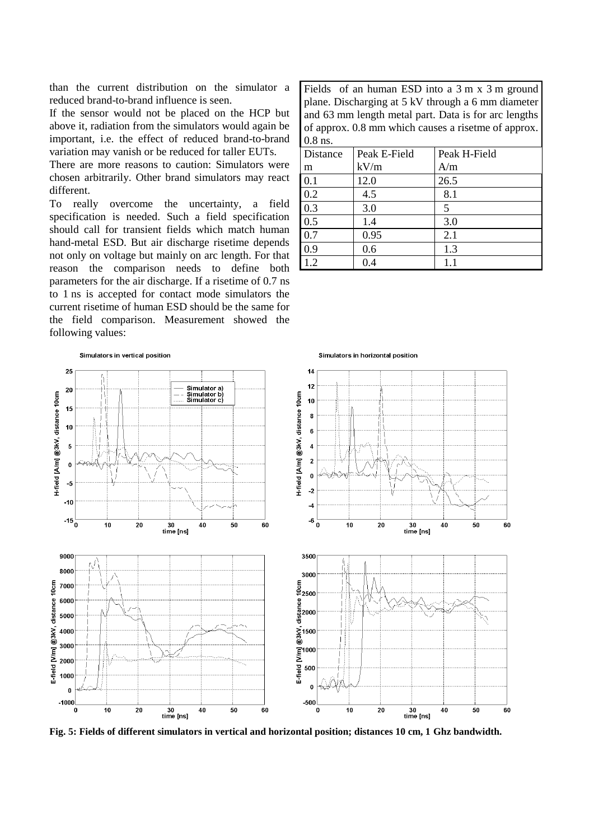than the current distribution on the simulator a reduced brand-to-brand influence is seen.

If the sensor would not be placed on the HCP but above it, radiation from the simulators would again be important, i.e. the effect of reduced brand-to-brand variation may vanish or be reduced for taller EUTs.

There are more reasons to caution: Simulators were chosen arbitrarily. Other brand simulators may react different.

To really overcome the uncertainty, a field specification is needed. Such a field specification should call for transient fields which match human hand-metal ESD. But air discharge risetime depends not only on voltage but mainly on arc length. For that reason the comparison needs to define both parameters for the air discharge. If a risetime of 0.7 ns to 1 ns is accepted for contact mode simulators the current risetime of human ESD should be the same for the field comparison. Measurement showed the following values:

Fields of an human ESD into a 3 m x 3 m ground plane. Discharging at 5 kV through a 6 mm diameter and 63 mm length metal part. Data is for arc lengths of approx. 0.8 mm which causes a risetme of approx. 0.8 ns.

| Distance | Peak E-Field | Peak H-Field |
|----------|--------------|--------------|
| m        | kV/m         | A/m          |
| 0.1      | 12.0         | 26.5         |
| 0.2      | 4.5          | 8.1          |
| 0.3      | 3.0          | 5            |
| 0.5      | 1.4          | 3.0          |
| 0.7      | 0.95         | 2.1          |
| 0.9      | 0.6          | 1.3          |
| 1.2      | 0.4          |              |



**Fig. 5: Fields of different simulators in vertical and horizontal position; distances 10 cm, 1 Ghz bandwidth.**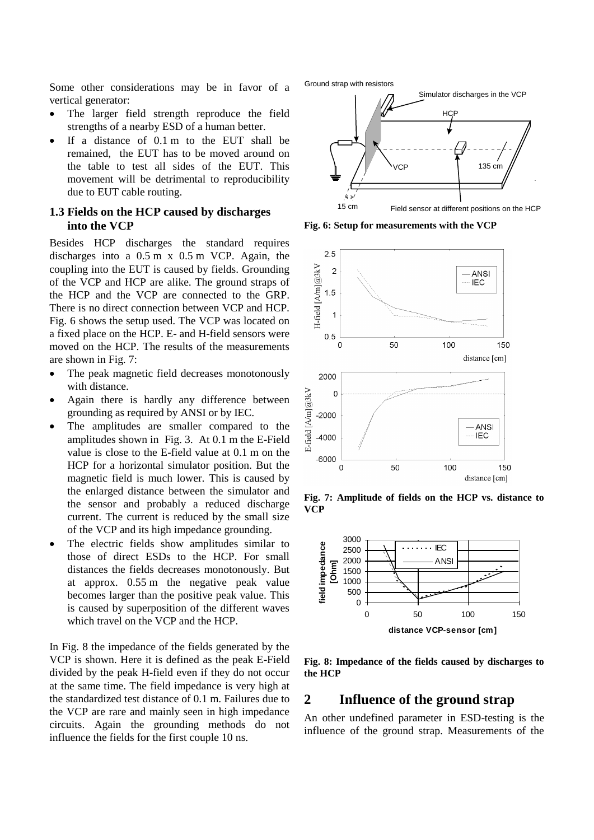Some other considerations may be in favor of a vertical generator:

- The larger field strength reproduce the field strengths of a nearby ESD of a human better.
- If a distance of 0.1 m to the EUT shall be remained, the EUT has to be moved around on the table to test all sides of the EUT. This movement will be detrimental to reproducibility due to EUT cable routing.

#### **1.3 Fields on the HCP caused by discharges into the VCP**

Besides HCP discharges the standard requires discharges into a 0.5 m x 0.5 m VCP. Again, the coupling into the EUT is caused by fields. Grounding of the VCP and HCP are alike. The ground straps of the HCP and the VCP are connected to the GRP. There is no direct connection between VCP and HCP. Fig. 6 shows the setup used. The VCP was located on a fixed place on the HCP. E- and H-field sensors were moved on the HCP. The results of the measurements are shown in Fig. 7:

- The peak magnetic field decreases monotonously with distance.
- Again there is hardly any difference between grounding as required by ANSI or by IEC.
- The amplitudes are smaller compared to the amplitudes shown in Fig. 3. At 0.1 m the E-Field value is close to the E-field value at 0.1 m on the HCP for a horizontal simulator position. But the magnetic field is much lower. This is caused by the enlarged distance between the simulator and the sensor and probably a reduced discharge current. The current is reduced by the small size of the VCP and its high impedance grounding.
- The electric fields show amplitudes similar to those of direct ESDs to the HCP. For small distances the fields decreases monotonously. But at approx. 0.55 m the negative peak value becomes larger than the positive peak value. This is caused by superposition of the different waves which travel on the VCP and the HCP.

In Fig. 8 the impedance of the fields generated by the VCP is shown. Here it is defined as the peak E-Field divided by the peak H-field even if they do not occur at the same time. The field impedance is very high at the standardized test distance of 0.1 m. Failures due to the VCP are rare and mainly seen in high impedance circuits. Again the grounding methods do not influence the fields for the first couple 10 ns.



Field sensor at different positions on the HCP

**Fig. 6: Setup for measurements with the VCP**



**Fig. 7: Amplitude of fields on the HCP vs. distance to VCP**



**Fig. 8: Impedance of the fields caused by discharges to the HCP**

#### **2 Influence of the ground strap**

An other undefined parameter in ESD-testing is the influence of the ground strap. Measurements of the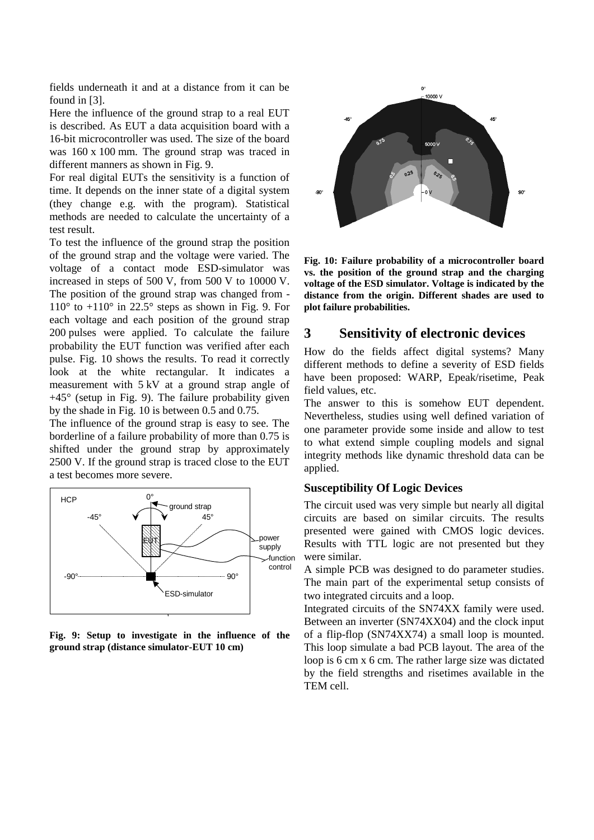fields underneath it and at a distance from it can be found in [3].

Here the influence of the ground strap to a real EUT is described. As EUT a data acquisition board with a 16-bit microcontroller was used. The size of the board was 160 x 100 mm. The ground strap was traced in different manners as shown in Fig. 9.

For real digital EUTs the sensitivity is a function of time. It depends on the inner state of a digital system (they change e.g. with the program). Statistical methods are needed to calculate the uncertainty of a test result.

To test the influence of the ground strap the position of the ground strap and the voltage were varied. The voltage of a contact mode ESD-simulator was increased in steps of 500 V, from 500 V to 10000 V. The position of the ground strap was changed from -  $110^{\circ}$  to  $+110^{\circ}$  in 22.5° steps as shown in Fig. 9. For each voltage and each position of the ground strap 200 pulses were applied. To calculate the failure probability the EUT function was verified after each pulse. Fig. 10 shows the results. To read it correctly look at the white rectangular. It indicates a measurement with 5 kV at a ground strap angle of  $+45^{\circ}$  (setup in Fig. 9). The failure probability given by the shade in Fig. 10 is between 0.5 and 0.75.

The influence of the ground strap is easy to see. The borderline of a failure probability of more than 0.75 is shifted under the ground strap by approximately 2500 V. If the ground strap is traced close to the EUT a test becomes more severe.



**Fig. 9: Setup to investigate in the influence of the ground strap (distance simulator-EUT 10 cm)**



**Fig. 10: Failure probability of a microcontroller board vs. the position of the ground strap and the charging voltage of the ESD simulator. Voltage is indicated by the distance from the origin. Different shades are used to plot failure probabilities.**

## **3 Sensitivity of electronic devices**

How do the fields affect digital systems? Many different methods to define a severity of ESD fields have been proposed: WARP, Epeak/risetime, Peak field values, etc.

The answer to this is somehow EUT dependent. Nevertheless, studies using well defined variation of one parameter provide some inside and allow to test to what extend simple coupling models and signal integrity methods like dynamic threshold data can be applied.

#### **Susceptibility Of Logic Devices**

The circuit used was very simple but nearly all digital circuits are based on similar circuits. The results presented were gained with CMOS logic devices. Results with TTL logic are not presented but they were similar.

A simple PCB was designed to do parameter studies. The main part of the experimental setup consists of two integrated circuits and a loop.

Integrated circuits of the SN74XX family were used. Between an inverter (SN74XX04) and the clock input of a flip-flop (SN74XX74) a small loop is mounted. This loop simulate a bad PCB layout. The area of the loop is 6 cm x 6 cm. The rather large size was dictated by the field strengths and risetimes available in the TEM cell.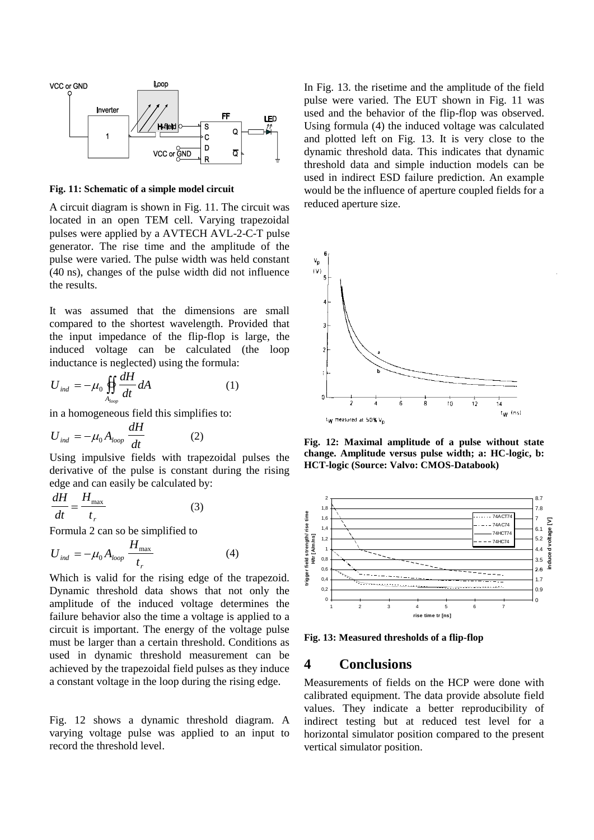

**Fig. 11: Schematic of a simple model circuit**

A circuit diagram is shown in Fig. 11. The circuit was located in an open TEM cell. Varying trapezoidal pulses were applied by a AVTECH AVL-2-C-T pulse generator. The rise time and the amplitude of the pulse were varied. The pulse width was held constant (40 ns), changes of the pulse width did not influence the results.

It was assumed that the dimensions are small compared to the shortest wavelength. Provided that the input impedance of the flip-flop is large, the induced voltage can be calculated (the loop inductance is neglected) using the formula:

$$
U_{ind} = -\mu_0 \iint\limits_{A_{loop}} \frac{dH}{dt} dA \tag{1}
$$

in a homogeneous field this simplifies to:

$$
U_{ind} = -\mu_0 A_{loop} \frac{dH}{dt}
$$
 (2)

Using impulsive fields with trapezoidal pulses the derivative of the pulse is constant during the rising edge and can easily be calculated by:

$$
\frac{dH}{dt} = \frac{H_{\text{max}}}{t_r} \tag{3}
$$

Formula 2 can so be simplified to

$$
U_{ind} = -\mu_0 A_{loop} \frac{H_{max}}{t_r}
$$
 (4)

Which is valid for the rising edge of the trapezoid. Dynamic threshold data shows that not only the amplitude of the induced voltage determines the failure behavior also the time a voltage is applied to a circuit is important. The energy of the voltage pulse must be larger than a certain threshold. Conditions as used in dynamic threshold measurement can be achieved by the trapezoidal field pulses as they induce a constant voltage in the loop during the rising edge.

Fig. 12 shows a dynamic threshold diagram. A varying voltage pulse was applied to an input to record the threshold level.

In Fig. 13. the risetime and the amplitude of the field pulse were varied. The EUT shown in Fig. 11 was used and the behavior of the flip-flop was observed. Using formula (4) the induced voltage was calculated and plotted left on Fig. 13. It is very close to the dynamic threshold data. This indicates that dynamic threshold data and simple induction models can be used in indirect ESD failure prediction. An example would be the influence of aperture coupled fields for a reduced aperture size.



**Fig. 12: Maximal amplitude of a pulse without state change. Amplitude versus pulse width; a: HC-logic, b: HCT-logic (Source: Valvo: CMOS-Databook)**



**Fig. 13: Measured thresholds of a flip-flop**

## **4 Conclusions**

Measurements of fields on the HCP were done with calibrated equipment. The data provide absolute field values. They indicate a better reproducibility of indirect testing but at reduced test level for a horizontal simulator position compared to the present vertical simulator position.